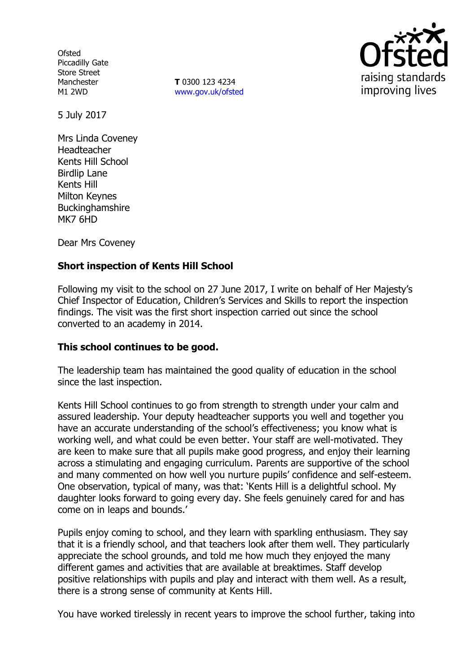**Ofsted** Piccadilly Gate Store Street Manchester M1 2WD

**T** 0300 123 4234 www.gov.uk/ofsted



5 July 2017

Mrs Linda Coveney Headteacher Kents Hill School Birdlip Lane Kents Hill Milton Keynes **Buckinghamshire** MK7 6HD

Dear Mrs Coveney

## **Short inspection of Kents Hill School**

Following my visit to the school on 27 June 2017, I write on behalf of Her Majesty's Chief Inspector of Education, Children's Services and Skills to report the inspection findings. The visit was the first short inspection carried out since the school converted to an academy in 2014.

#### **This school continues to be good.**

The leadership team has maintained the good quality of education in the school since the last inspection.

Kents Hill School continues to go from strength to strength under your calm and assured leadership. Your deputy headteacher supports you well and together you have an accurate understanding of the school's effectiveness; you know what is working well, and what could be even better. Your staff are well-motivated. They are keen to make sure that all pupils make good progress, and enjoy their learning across a stimulating and engaging curriculum. Parents are supportive of the school and many commented on how well you nurture pupils' confidence and self-esteem. One observation, typical of many, was that: 'Kents Hill is a delightful school. My daughter looks forward to going every day. She feels genuinely cared for and has come on in leaps and bounds.'

Pupils enjoy coming to school, and they learn with sparkling enthusiasm. They say that it is a friendly school, and that teachers look after them well. They particularly appreciate the school grounds, and told me how much they enjoyed the many different games and activities that are available at breaktimes. Staff develop positive relationships with pupils and play and interact with them well. As a result, there is a strong sense of community at Kents Hill.

You have worked tirelessly in recent years to improve the school further, taking into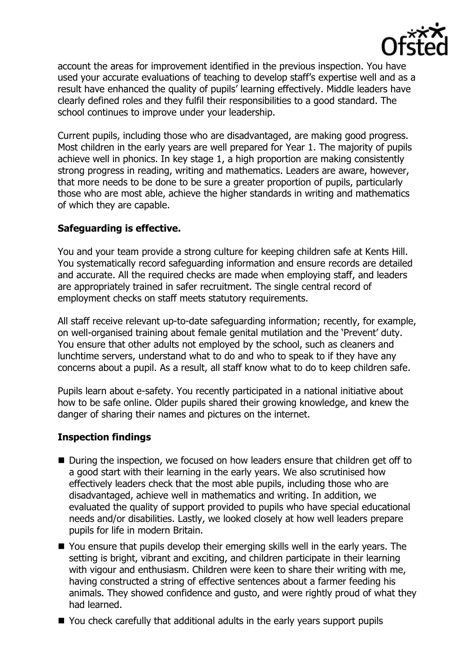

account the areas for improvement identified in the previous inspection. You have used your accurate evaluations of teaching to develop staff's expertise well and as a result have enhanced the quality of pupils' learning effectively. Middle leaders have clearly defined roles and they fulfil their responsibilities to a good standard. The school continues to improve under your leadership.

Current pupils, including those who are disadvantaged, are making good progress. Most children in the early years are well prepared for Year 1. The majority of pupils achieve well in phonics. In key stage 1, a high proportion are making consistently strong progress in reading, writing and mathematics. Leaders are aware, however, that more needs to be done to be sure a greater proportion of pupils, particularly those who are most able, achieve the higher standards in writing and mathematics of which they are capable.

## **Safeguarding is effective.**

You and your team provide a strong culture for keeping children safe at Kents Hill. You systematically record safeguarding information and ensure records are detailed and accurate. All the required checks are made when employing staff, and leaders are appropriately trained in safer recruitment. The single central record of employment checks on staff meets statutory requirements.

All staff receive relevant up-to-date safeguarding information; recently, for example, on well-organised training about female genital mutilation and the 'Prevent' duty. You ensure that other adults not employed by the school, such as cleaners and lunchtime servers, understand what to do and who to speak to if they have any concerns about a pupil. As a result, all staff know what to do to keep children safe.

Pupils learn about e-safety. You recently participated in a national initiative about how to be safe online. Older pupils shared their growing knowledge, and knew the danger of sharing their names and pictures on the internet.

# **Inspection findings**

- During the inspection, we focused on how leaders ensure that children get off to a good start with their learning in the early years. We also scrutinised how effectively leaders check that the most able pupils, including those who are disadvantaged, achieve well in mathematics and writing. In addition, we evaluated the quality of support provided to pupils who have special educational needs and/or disabilities. Lastly, we looked closely at how well leaders prepare pupils for life in modern Britain.
- You ensure that pupils develop their emerging skills well in the early years. The setting is bright, vibrant and exciting, and children participate in their learning with vigour and enthusiasm. Children were keen to share their writing with me, having constructed a string of effective sentences about a farmer feeding his animals. They showed confidence and gusto, and were rightly proud of what they had learned.
- You check carefully that additional adults in the early years support pupils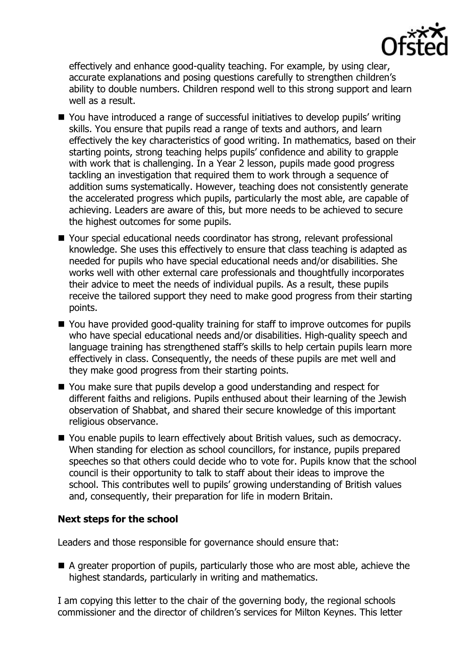

effectively and enhance good-quality teaching. For example, by using clear, accurate explanations and posing questions carefully to strengthen children's ability to double numbers. Children respond well to this strong support and learn well as a result.

- You have introduced a range of successful initiatives to develop pupils' writing skills. You ensure that pupils read a range of texts and authors, and learn effectively the key characteristics of good writing. In mathematics, based on their starting points, strong teaching helps pupils' confidence and ability to grapple with work that is challenging. In a Year 2 lesson, pupils made good progress tackling an investigation that required them to work through a sequence of addition sums systematically. However, teaching does not consistently generate the accelerated progress which pupils, particularly the most able, are capable of achieving. Leaders are aware of this, but more needs to be achieved to secure the highest outcomes for some pupils.
- Your special educational needs coordinator has strong, relevant professional knowledge. She uses this effectively to ensure that class teaching is adapted as needed for pupils who have special educational needs and/or disabilities. She works well with other external care professionals and thoughtfully incorporates their advice to meet the needs of individual pupils. As a result, these pupils receive the tailored support they need to make good progress from their starting points.
- You have provided good-quality training for staff to improve outcomes for pupils who have special educational needs and/or disabilities. High-quality speech and language training has strengthened staff's skills to help certain pupils learn more effectively in class. Consequently, the needs of these pupils are met well and they make good progress from their starting points.
- You make sure that pupils develop a good understanding and respect for different faiths and religions. Pupils enthused about their learning of the Jewish observation of Shabbat, and shared their secure knowledge of this important religious observance.
- You enable pupils to learn effectively about British values, such as democracy. When standing for election as school councillors, for instance, pupils prepared speeches so that others could decide who to vote for. Pupils know that the school council is their opportunity to talk to staff about their ideas to improve the school. This contributes well to pupils' growing understanding of British values and, consequently, their preparation for life in modern Britain.

# **Next steps for the school**

Leaders and those responsible for governance should ensure that:

A greater proportion of pupils, particularly those who are most able, achieve the highest standards, particularly in writing and mathematics.

I am copying this letter to the chair of the governing body, the regional schools commissioner and the director of children's services for Milton Keynes. This letter